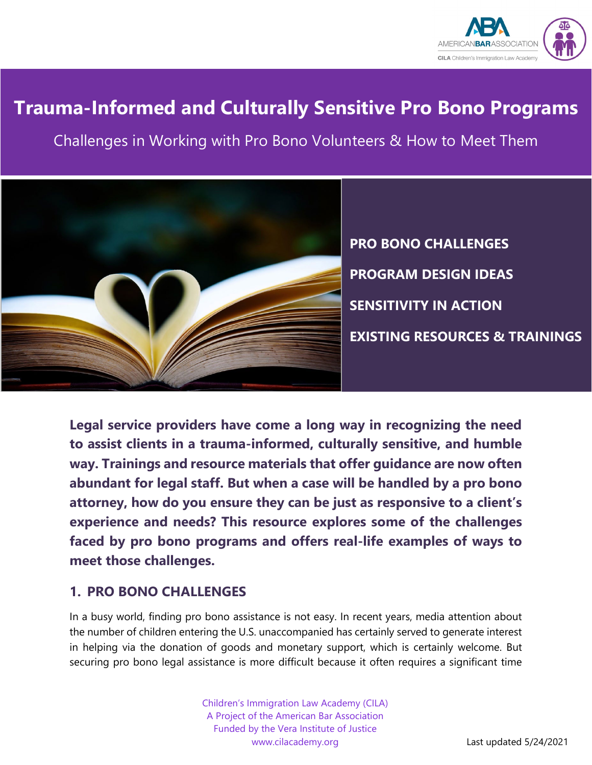

# **Trauma-Informed and Culturally Sensitive Pro Bono Programs**

Challenges in Working with Pro Bono Volunteers & How to Meet Them



**PRO BONO CHALLENGES PROGRAM DESIGN IDEAS SENSITIVITY IN ACTION EXISTING RESOURCES & TRAININGS**

**Legal service providers have come a long way in recognizing the need to assist clients in a trauma-informed, culturally sensitive, and humble way. Trainings and resource materials that offer guidance are now often abundant for legal staff. But when a case will be handled by a pro bono attorney, how do you ensure they can be just as responsive to a client's experience and needs? This resource explores some of the challenges faced by pro bono programs and offers real-life examples of ways to meet those challenges.**

# **1. PRO BONO CHALLENGES**

In a busy world, finding pro bono assistance is not easy. In recent years, media attention about the number of children entering the U.S. unaccompanied has certainly served to generate interest in helping via the donation of goods and monetary support, which is certainly welcome. But securing pro bono legal assistance is more difficult because it often requires a significant time

> Children's Immigration Law Academy (CILA) A Project of the American Bar Association Funded by the Vera Institute of Justice www.cilacademy.org **Last updated 5/24/2021**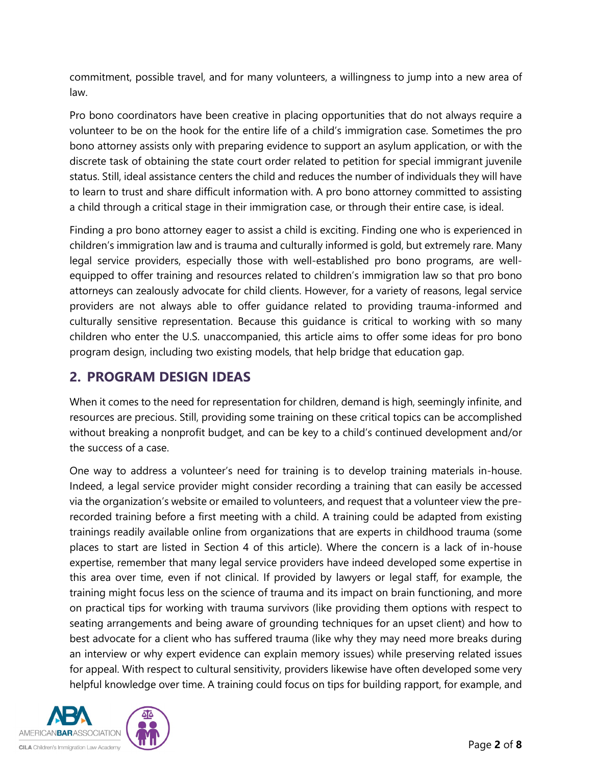commitment, possible travel, and for many volunteers, a willingness to jump into a new area of law.

Pro bono coordinators have been creative in placing opportunities that do not always require a volunteer to be on the hook for the entire life of a child's immigration case. Sometimes the pro bono attorney assists only with preparing evidence to support an asylum application, or with the discrete task of obtaining the state court order related to petition for special immigrant juvenile status. Still, ideal assistance centers the child and reduces the number of individuals they will have to learn to trust and share difficult information with. A pro bono attorney committed to assisting a child through a critical stage in their immigration case, or through their entire case, is ideal.

Finding a pro bono attorney eager to assist a child is exciting. Finding one who is experienced in children's immigration law and is trauma and culturally informed is gold, but extremely rare. Many legal service providers, especially those with well-established pro bono programs, are wellequipped to offer training and resources related to children's immigration law so that pro bono attorneys can zealously advocate for child clients. However, for a variety of reasons, legal service providers are not always able to offer guidance related to providing trauma-informed and culturally sensitive representation. Because this guidance is critical to working with so many children who enter the U.S. unaccompanied, this article aims to offer some ideas for pro bono program design, including two existing models, that help bridge that education gap.

# **2. PROGRAM DESIGN IDEAS**

When it comes to the need for representation for children, demand is high, seemingly infinite, and resources are precious. Still, providing some training on these critical topics can be accomplished without breaking a nonprofit budget, and can be key to a child's continued development and/or the success of a case.

One way to address a volunteer's need for training is to develop training materials in-house. Indeed, a legal service provider might consider recording a training that can easily be accessed via the organization's website or emailed to volunteers, and request that a volunteer view the prerecorded training before a first meeting with a child. A training could be adapted from existing trainings readily available online from organizations that are experts in childhood trauma (some places to start are listed in Section 4 of this article). Where the concern is a lack of in-house expertise, remember that many legal service providers have indeed developed some expertise in this area over time, even if not clinical. If provided by lawyers or legal staff, for example, the training might focus less on the science of trauma and its impact on brain functioning, and more on practical tips for working with trauma survivors (like providing them options with respect to seating arrangements and being aware of grounding techniques for an upset client) and how to best advocate for a client who has suffered trauma (like why they may need more breaks during an interview or why expert evidence can explain memory issues) while preserving related issues for appeal. With respect to cultural sensitivity, providers likewise have often developed some very helpful knowledge over time. A training could focus on tips for building rapport, for example, and

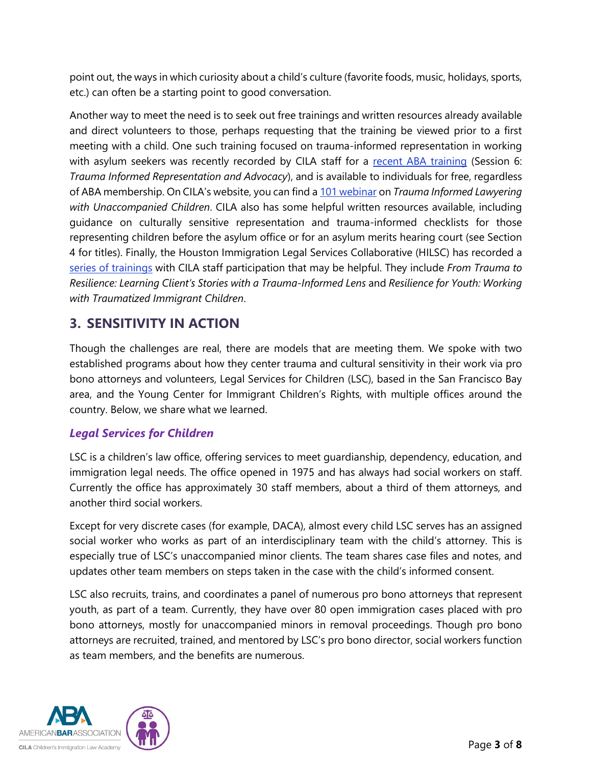point out, the ways in which curiosity about a child's culture (favorite foods, music, holidays, sports, etc.) can often be a starting point to good conversation.

Another way to meet the need is to seek out free trainings and written resources already available and direct volunteers to those, perhaps requesting that the training be viewed prior to a first meeting with a child. One such training focused on trauma-informed representation in working with asylum seekers was recently recorded by CILA staff for a [recent ABA training](https://www.americanbar.org/events-cle/ecd/ondemand/408969136/) (Session 6: *Trauma Informed Representation and Advocacy*), and is available to individuals for free, regardless of ABA membership. On CILA's website, you can find a [101 webinar](https://cilacademy.org/resources/101-webinars/) on *Trauma Informed Lawyering with Unaccompanied Children*. CILA also has some helpful written resources available, including guidance on culturally sensitive representation and trauma-informed checklists for those representing children before the asylum office or for an asylum merits hearing court (see Section 4 for titles). Finally, the Houston Immigration Legal Services Collaborative (HILSC) has recorded a [series of trainings](https://cilacademy.org/trainings/webinars/) with CILA staff participation that may be helpful. They include *From Trauma to Resilience: Learning Client's Stories with a Trauma-Informed Lens* and *Resilience for Youth: Working with Traumatized Immigrant Children*.

# **3. SENSITIVITY IN ACTION**

Though the challenges are real, there are models that are meeting them. We spoke with two established programs about how they center trauma and cultural sensitivity in their work via pro bono attorneys and volunteers, Legal Services for Children (LSC), based in the San Francisco Bay area, and the Young Center for Immigrant Children's Rights, with multiple offices around the country. Below, we share what we learned.

# *Legal Services for Children*

LSC is a children's law office, offering services to meet guardianship, dependency, education, and immigration legal needs. The office opened in 1975 and has always had social workers on staff. Currently the office has approximately 30 staff members, about a third of them attorneys, and another third social workers.

Except for very discrete cases (for example, DACA), almost every child LSC serves has an assigned social worker who works as part of an interdisciplinary team with the child's attorney. This is especially true of LSC's unaccompanied minor clients. The team shares case files and notes, and updates other team members on steps taken in the case with the child's informed consent.

LSC also recruits, trains, and coordinates a panel of numerous pro bono attorneys that represent youth, as part of a team. Currently, they have over 80 open immigration cases placed with pro bono attorneys, mostly for unaccompanied minors in removal proceedings. Though pro bono attorneys are recruited, trained, and mentored by LSC's pro bono director, social workers function as team members, and the benefits are numerous.

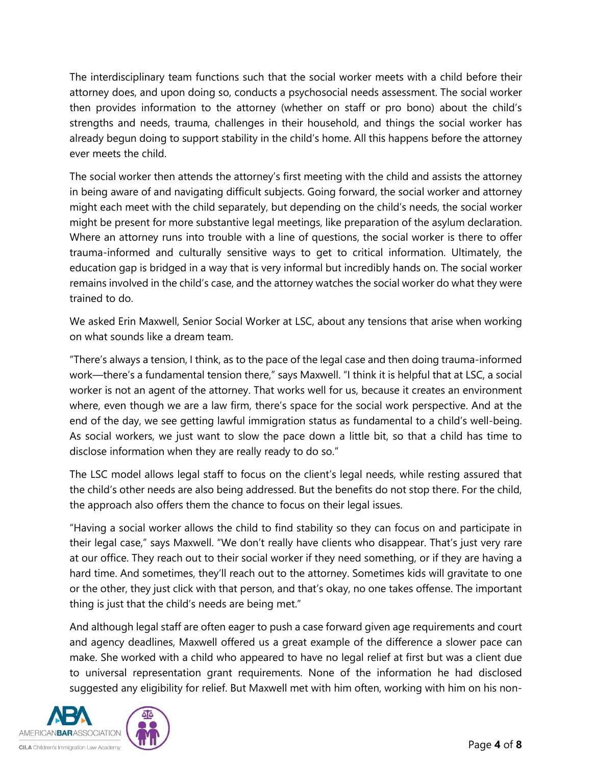The interdisciplinary team functions such that the social worker meets with a child before their attorney does, and upon doing so, conducts a psychosocial needs assessment. The social worker then provides information to the attorney (whether on staff or pro bono) about the child's strengths and needs, trauma, challenges in their household, and things the social worker has already begun doing to support stability in the child's home. All this happens before the attorney ever meets the child.

The social worker then attends the attorney's first meeting with the child and assists the attorney in being aware of and navigating difficult subjects. Going forward, the social worker and attorney might each meet with the child separately, but depending on the child's needs, the social worker might be present for more substantive legal meetings, like preparation of the asylum declaration. Where an attorney runs into trouble with a line of questions, the social worker is there to offer trauma-informed and culturally sensitive ways to get to critical information. Ultimately, the education gap is bridged in a way that is very informal but incredibly hands on. The social worker remains involved in the child's case, and the attorney watches the social worker do what they were trained to do.

We asked Erin Maxwell, Senior Social Worker at LSC, about any tensions that arise when working on what sounds like a dream team.

"There's always a tension, I think, as to the pace of the legal case and then doing trauma-informed work—there's a fundamental tension there," says Maxwell. "I think it is helpful that at LSC, a social worker is not an agent of the attorney. That works well for us, because it creates an environment where, even though we are a law firm, there's space for the social work perspective. And at the end of the day, we see getting lawful immigration status as fundamental to a child's well-being. As social workers, we just want to slow the pace down a little bit, so that a child has time to disclose information when they are really ready to do so."

The LSC model allows legal staff to focus on the client's legal needs, while resting assured that the child's other needs are also being addressed. But the benefits do not stop there. For the child, the approach also offers them the chance to focus on their legal issues.

"Having a social worker allows the child to find stability so they can focus on and participate in their legal case," says Maxwell. "We don't really have clients who disappear. That's just very rare at our office. They reach out to their social worker if they need something, or if they are having a hard time. And sometimes, they'll reach out to the attorney. Sometimes kids will gravitate to one or the other, they just click with that person, and that's okay, no one takes offense. The important thing is just that the child's needs are being met."

And although legal staff are often eager to push a case forward given age requirements and court and agency deadlines, Maxwell offered us a great example of the difference a slower pace can make. She worked with a child who appeared to have no legal relief at first but was a client due to universal representation grant requirements. None of the information he had disclosed suggested any eligibility for relief. But Maxwell met with him often, working with him on his non-

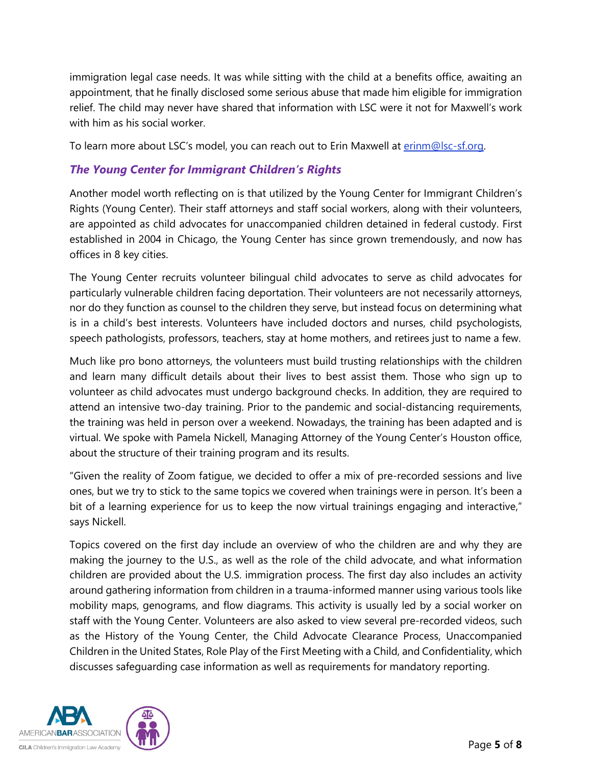immigration legal case needs. It was while sitting with the child at a benefits office, awaiting an appointment, that he finally disclosed some serious abuse that made him eligible for immigration relief. The child may never have shared that information with LSC were it not for Maxwell's work with him as his social worker.

To learn more about LSC's model, you can reach out to Erin Maxwell at [erinm@lsc-sf.org.](mailto:erinm@lsc-sf.org)

# *The Young Center for Immigrant Children's Rights*

Another model worth reflecting on is that utilized by the Young Center for Immigrant Children's Rights (Young Center). Their staff attorneys and staff social workers, along with their volunteers, are appointed as child advocates for unaccompanied children detained in federal custody. First established in 2004 in Chicago, the Young Center has since grown tremendously, and now has offices in 8 key cities.

The Young Center recruits volunteer bilingual child advocates to serve as child advocates for particularly vulnerable children facing deportation. Their volunteers are not necessarily attorneys, nor do they function as counsel to the children they serve, but instead focus on determining what is in a child's best interests. Volunteers have included doctors and nurses, child psychologists, speech pathologists, professors, teachers, stay at home mothers, and retirees just to name a few.

Much like pro bono attorneys, the volunteers must build trusting relationships with the children and learn many difficult details about their lives to best assist them. Those who sign up to volunteer as child advocates must undergo background checks. In addition, they are required to attend an intensive two-day training. Prior to the pandemic and social-distancing requirements, the training was held in person over a weekend. Nowadays, the training has been adapted and is virtual. We spoke with Pamela Nickell, Managing Attorney of the Young Center's Houston office, about the structure of their training program and its results.

"Given the reality of Zoom fatigue, we decided to offer a mix of pre-recorded sessions and live ones, but we try to stick to the same topics we covered when trainings were in person. It's been a bit of a learning experience for us to keep the now virtual trainings engaging and interactive," says Nickell.

Topics covered on the first day include an overview of who the children are and why they are making the journey to the U.S., as well as the role of the child advocate, and what information children are provided about the U.S. immigration process. The first day also includes an activity around gathering information from children in a trauma-informed manner using various tools like mobility maps, genograms, and flow diagrams. This activity is usually led by a social worker on staff with the Young Center. Volunteers are also asked to view several pre-recorded videos, such as the History of the Young Center, the Child Advocate Clearance Process, Unaccompanied Children in the United States, Role Play of the First Meeting with a Child, and Confidentiality, which discusses safeguarding case information as well as requirements for mandatory reporting.

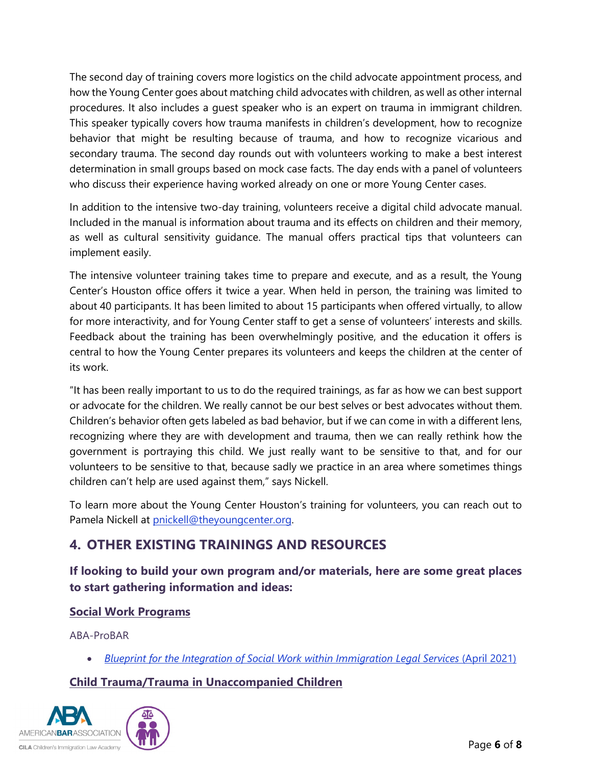The second day of training covers more logistics on the child advocate appointment process, and how the Young Center goes about matching child advocates with children, as well as other internal procedures. It also includes a guest speaker who is an expert on trauma in immigrant children. This speaker typically covers how trauma manifests in children's development, how to recognize behavior that might be resulting because of trauma, and how to recognize vicarious and secondary trauma. The second day rounds out with volunteers working to make a best interest determination in small groups based on mock case facts. The day ends with a panel of volunteers who discuss their experience having worked already on one or more Young Center cases.

In addition to the intensive two-day training, volunteers receive a digital child advocate manual. Included in the manual is information about trauma and its effects on children and their memory, as well as cultural sensitivity guidance. The manual offers practical tips that volunteers can implement easily.

The intensive volunteer training takes time to prepare and execute, and as a result, the Young Center's Houston office offers it twice a year. When held in person, the training was limited to about 40 participants. It has been limited to about 15 participants when offered virtually, to allow for more interactivity, and for Young Center staff to get a sense of volunteers' interests and skills. Feedback about the training has been overwhelmingly positive, and the education it offers is central to how the Young Center prepares its volunteers and keeps the children at the center of its work.

"It has been really important to us to do the required trainings, as far as how we can best support or advocate for the children. We really cannot be our best selves or best advocates without them. Children's behavior often gets labeled as bad behavior, but if we can come in with a different lens, recognizing where they are with development and trauma, then we can really rethink how the government is portraying this child. We just really want to be sensitive to that, and for our volunteers to be sensitive to that, because sadly we practice in an area where sometimes things children can't help are used against them," says Nickell.

To learn more about the Young Center Houston's training for volunteers, you can reach out to Pamela Nickell at [pnickell@theyoungcenter.org.](mailto:pnickell@theyoungcenter.org)

# **4. OTHER EXISTING TRAININGS AND RESOURCES**

**If looking to build your own program and/or materials, here are some great places to start gathering information and ideas:**

#### **Social Work Programs**

ABA-ProBAR

• *[Blueprint for the Integration of Social Work within Immigration Legal Services](https://www.americanbar.org/content/dam/aba/administrative/immigration/probar/probar-blueprint-social-work-and-immigration-april-2021.pdf)* (April 2021)

# **Child Trauma/Trauma in Unaccompanied Children**

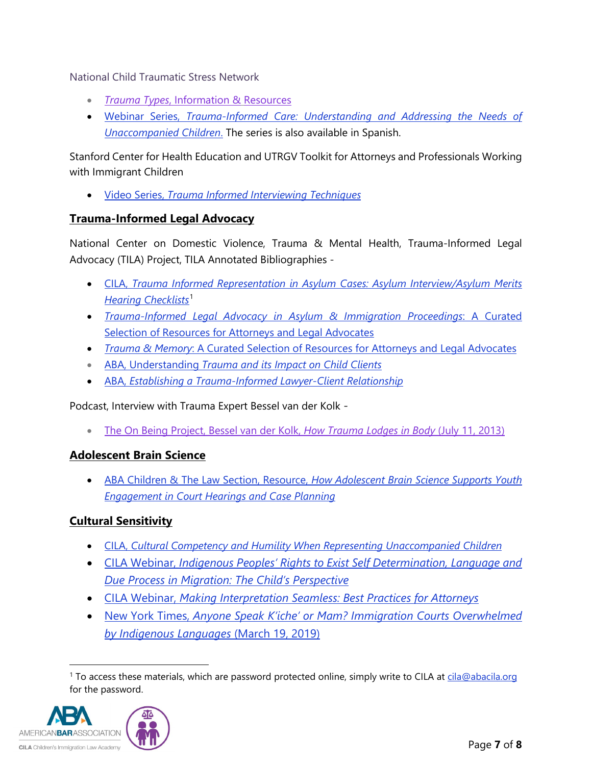National Child Traumatic Stress Network

- *Trauma Types*[, Information &](https://www.nctsn.org/what-is-child-trauma/trauma-types) Resources
- Webinar Series, *[Trauma-Informed Care: Understanding and Addressing the Needs of](https://www.nctsn.org/resources/trauma-informed-care-understanding-and-addressing-the-needs-of-unaccompanied-children)  [Unaccompanied Children](https://www.nctsn.org/resources/trauma-informed-care-understanding-and-addressing-the-needs-of-unaccompanied-children)*. The series is also available in Spanish.

Stanford Center for Health Education and UTRGV Toolkit for Attorneys and Professionals Working with Immigrant Children

• Video Series, *[Trauma Informed Interviewing Techniques](https://digitalmedic.stanford.edu/our-work/trauma/)*

#### **Trauma-Informed Legal Advocacy**

National Center on Domestic Violence, Trauma & Mental Health, Trauma-Informed Legal Advocacy (TILA) Project, TILA Annotated Bibliographies -

- CILA, *[Trauma Informed Representation in Asylum Cases: Asylum Interview/Asylum Merits](https://cilacademy.org/resources/additional-resources/)  [Hearing Checklists](https://cilacademy.org/resources/additional-resources/)*[1](#page-6-0)
- *[Trauma-Informed Legal Advocacy in Asylum & Immigration Proceedings](http://www.nationalcenterdvtraumamh.org/wp-content/uploads/2013/08/TILA_bib_for_immigration_asylum_attorneys_final.pdf)*: A Curated [Selection of Resources for Attorneys and Legal Advocates](http://www.nationalcenterdvtraumamh.org/wp-content/uploads/2013/08/TILA_bib_for_immigration_asylum_attorneys_final.pdf)
- *Trauma & Memory*[: A Curated Selection of Resources for Attorneys and Legal Advocates](http://www.nationalcenterdvtraumamh.org/wp-content/uploads/2013/08/TILA_bib_trauma_memory_final.pdf)
- ABA, Understanding *[Trauma and its Impact on Child Clients](https://www.americanbar.org/groups/public_interest/child_law/resources/child_law_practiceonline/child_law_practice/vol-33/september-2014/understanding-trauma-and-its-impact-on-child-clients/)*
- ABA, *[Establishing a Trauma-Informed Lawyer-Client Relationship](https://www.americanbar.org/groups/public_interest/child_law/resources/child_law_practiceonline/child_law_practice/vol-33/october-2014/establishing-a-trauma-informed-lawyer-client-relationship/)*

Podcast, Interview with Trauma Expert Bessel van der Kolk -

• [The On Being Project, Bessel van der Kolk,](https://onbeing.org/programs/bessel-van-der-kolk-how-trauma-lodges-in-the-body/) *How Trauma Lodges in Body* (July 11, 2013)

#### **Adolescent Brain Science**

• ABA Children & The Law Section, Resource, *[How Adolescent Brain Science Supports Youth](https://www.americanbar.org/content/dam/aba/administrative/child_law/youthengagement/how-adolescent-brain-science-supports-youth-engagement.pdf)  [Engagement in Court Hearings and Case Planning](https://www.americanbar.org/content/dam/aba/administrative/child_law/youthengagement/how-adolescent-brain-science-supports-youth-engagement.pdf)*

# **Cultural Sensitivity**

- CILA, *[Cultural Competency and Humility When Representing Unaccompanied Children](https://www.cilacademy.org/wp-content/uploads/2019/11/Cultural-Competency-Resource-Final.pdf)*
- CILA Webinar, *[Indigenous Peoples' Rights to Exist Self Determination, Language and](https://cilacademy.org/trainings/webinars/)  [Due Process in Migration: The Child's Perspective](https://cilacademy.org/trainings/webinars/)*
- CILA Webinar, *[Making Interpretation Seamless: Best Practices for Attorneys](https://cilacademy.org/trainings/webinars-two/)*
- New York Times, *[Anyone Speak K'iche' or Mam? Immigration Courts Overwhelmed](https://www.nytimes.com/2019/03/19/us/translators-border-wall-immigration.html)  [by Indigenous Languages](https://www.nytimes.com/2019/03/19/us/translators-border-wall-immigration.html)* (March 19, 2019)

<span id="page-6-0"></span><sup>&</sup>lt;sup>1</sup> To access these materials, which are password protected online, simply write to CILA at [cila@abacila.org](mailto:cila@abacila.org) for the password.